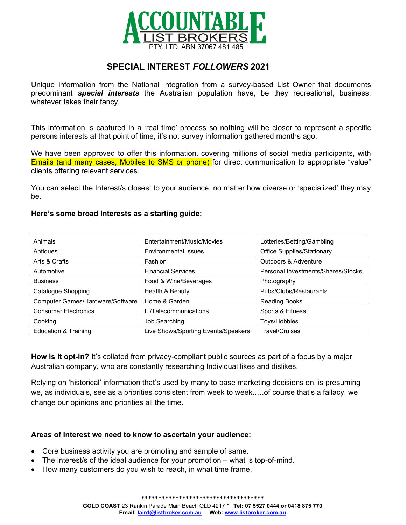

# SPECIAL INTEREST FOLLOWERS 2021

Unique information from the National Integration from a survey-based List Owner that documents predominant **special interests** the Australian population have, be they recreational, business, whatever takes their fancy.

This information is captured in a 'real time' process so nothing will be closer to represent a specific persons interests at that point of time, it's not survey information gathered months ago.

We have been approved to offer this information, covering millions of social media participants, with Emails (and many cases, Mobiles to SMS or phone) for direct communication to appropriate "value" clients offering relevant services.

You can select the Interest/s closest to your audience, no matter how diverse or 'specialized' they may be.

#### Here's some broad Interests as a starting guide:

| Animals                                 | Entertainment/Music/Movies          | Lotteries/Betting/Gambling         |  |
|-----------------------------------------|-------------------------------------|------------------------------------|--|
| Antiques                                | <b>Environmental Issues</b>         | <b>Office Supplies/Stationary</b>  |  |
| Arts & Crafts                           | Fashion                             | Outdoors & Adventure               |  |
| Automotive                              | <b>Financial Services</b>           | Personal Investments/Shares/Stocks |  |
| <b>Business</b>                         | Food & Wine/Beverages               | Photography                        |  |
| Catalogue Shopping                      | Health & Beauty                     | Pubs/Clubs/Restaurants             |  |
| <b>Computer Games/Hardware/Software</b> | Home & Garden                       | <b>Reading Books</b>               |  |
| <b>Consumer Electronics</b>             | IT/Telecommunications               | Sports & Fitness                   |  |
| Cooking                                 | Job Searching                       | Toys/Hobbies                       |  |
| <b>Education &amp; Training</b>         | Live Shows/Sporting Events/Speakers | <b>Travel/Cruises</b>              |  |

How is it opt-in? It's collated from privacy-compliant public sources as part of a focus by a major Australian company, who are constantly researching Individual likes and dislikes.

Relying on 'historical' information that's used by many to base marketing decisions on, is presuming we, as individuals, see as a priorities consistent from week to week.….of course that's a fallacy, we change our opinions and priorities all the time.

### Areas of Interest we need to know to ascertain your audience:

- Core business activity you are promoting and sample of same.
- The interest/s of the ideal audience for your promotion what is top-of-mind.
- How many customers do you wish to reach, in what time frame.